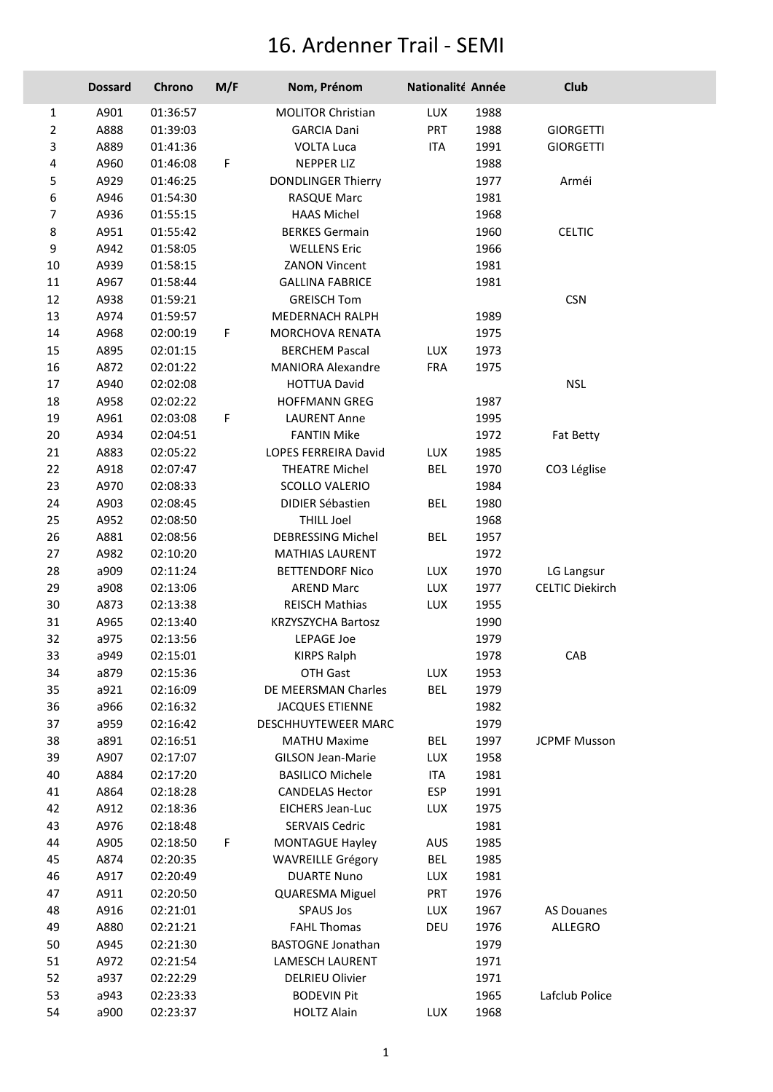## 16. Ardenner Trail - SEMI

|                  | <b>Dossard</b> | Chrono   | M/F | Nom, Prénom               | Nationalité Année |      | Club                   |
|------------------|----------------|----------|-----|---------------------------|-------------------|------|------------------------|
| 1                | A901           | 01:36:57 |     | <b>MOLITOR Christian</b>  | LUX               | 1988 |                        |
| $\overline{2}$   | A888           | 01:39:03 |     | <b>GARCIA Dani</b>        | <b>PRT</b>        | 1988 | <b>GIORGETTI</b>       |
| 3                | A889           | 01:41:36 |     | <b>VOLTA Luca</b>         | ITA               | 1991 | <b>GIORGETTI</b>       |
| 4                | A960           | 01:46:08 | F   | <b>NEPPER LIZ</b>         |                   | 1988 |                        |
| 5                | A929           | 01:46:25 |     | <b>DONDLINGER Thierry</b> |                   | 1977 | Arméi                  |
| 6                | A946           | 01:54:30 |     | RASQUE Marc               |                   | 1981 |                        |
| $\overline{7}$   | A936           | 01:55:15 |     | <b>HAAS Michel</b>        |                   | 1968 |                        |
| 8                | A951           | 01:55:42 |     | <b>BERKES Germain</b>     |                   | 1960 | <b>CELTIC</b>          |
| $\boldsymbol{9}$ | A942           | 01:58:05 |     | <b>WELLENS Eric</b>       |                   | 1966 |                        |
| 10               | A939           | 01:58:15 |     | <b>ZANON Vincent</b>      |                   | 1981 |                        |
| $11\,$           | A967           | 01:58:44 |     | <b>GALLINA FABRICE</b>    |                   | 1981 |                        |
| $12\,$           | A938           | 01:59:21 |     | <b>GREISCH Tom</b>        |                   |      | <b>CSN</b>             |
| 13               | A974           | 01:59:57 |     | MEDERNACH RALPH           |                   | 1989 |                        |
| 14               | A968           | 02:00:19 | F.  | MORCHOVA RENATA           |                   | 1975 |                        |
| 15               | A895           | 02:01:15 |     | <b>BERCHEM Pascal</b>     | <b>LUX</b>        | 1973 |                        |
| 16               | A872           | 02:01:22 |     | <b>MANIORA Alexandre</b>  | <b>FRA</b>        | 1975 |                        |
| 17               | A940           | 02:02:08 |     | <b>HOTTUA David</b>       |                   |      | <b>NSL</b>             |
| 18               | A958           | 02:02:22 |     | <b>HOFFMANN GREG</b>      |                   | 1987 |                        |
| 19               | A961           | 02:03:08 | F   | <b>LAURENT Anne</b>       |                   | 1995 |                        |
| 20               | A934           | 02:04:51 |     | <b>FANTIN Mike</b>        |                   | 1972 | Fat Betty              |
| 21               | A883           | 02:05:22 |     | LOPES FERREIRA David      | LUX               | 1985 |                        |
| 22               | A918           | 02:07:47 |     | <b>THEATRE Michel</b>     | <b>BEL</b>        | 1970 | CO3 Léglise            |
| 23               | A970           | 02:08:33 |     | <b>SCOLLO VALERIO</b>     |                   | 1984 |                        |
| 24               | A903           | 02:08:45 |     | <b>DIDIER Sébastien</b>   | <b>BEL</b>        | 1980 |                        |
| 25               | A952           | 02:08:50 |     | <b>THILL Joel</b>         |                   | 1968 |                        |
| 26               | A881           | 02:08:56 |     | <b>DEBRESSING Michel</b>  | <b>BEL</b>        | 1957 |                        |
| 27               | A982           | 02:10:20 |     | <b>MATHIAS LAURENT</b>    |                   | 1972 |                        |
| 28               | a909           | 02:11:24 |     | <b>BETTENDORF Nico</b>    | LUX               | 1970 | LG Langsur             |
| 29               | a908           | 02:13:06 |     | <b>AREND Marc</b>         | LUX               | 1977 | <b>CELTIC Diekirch</b> |
| 30               | A873           | 02:13:38 |     | <b>REISCH Mathias</b>     | LUX               | 1955 |                        |
| 31               | A965           | 02:13:40 |     | <b>KRZYSZYCHA Bartosz</b> |                   | 1990 |                        |
| 32               | a975           | 02:13:56 |     | <b>LEPAGE Joe</b>         |                   | 1979 |                        |
| 33               | a949           | 02:15:01 |     | <b>KIRPS Ralph</b>        |                   | 1978 | CAB                    |
| 34               | a879           | 02:15:36 |     | OTH Gast                  | LUX               | 1953 |                        |
| 35               | a921           | 02:16:09 |     | DE MEERSMAN Charles       | <b>BEL</b>        | 1979 |                        |
| 36               | a966           | 02:16:32 |     | <b>JACQUES ETIENNE</b>    |                   | 1982 |                        |
| 37               | a959           | 02:16:42 |     | DESCHHUYTEWEER MARC       |                   | 1979 |                        |
| 38               | a891           | 02:16:51 |     | <b>MATHU Maxime</b>       | BEL               | 1997 | <b>JCPMF Musson</b>    |
| 39               | A907           | 02:17:07 |     | <b>GILSON Jean-Marie</b>  | LUX               | 1958 |                        |
| 40               | A884           | 02:17:20 |     | <b>BASILICO Michele</b>   | <b>ITA</b>        | 1981 |                        |
| 41               | A864           | 02:18:28 |     | <b>CANDELAS Hector</b>    | <b>ESP</b>        | 1991 |                        |
| 42               | A912           | 02:18:36 |     | <b>EICHERS Jean-Luc</b>   | <b>LUX</b>        | 1975 |                        |
| 43               | A976           | 02:18:48 |     | <b>SERVAIS Cedric</b>     |                   | 1981 |                        |
| 44               | A905           | 02:18:50 | F   | <b>MONTAGUE Hayley</b>    | AUS               | 1985 |                        |
| 45               | A874           | 02:20:35 |     | <b>WAVREILLE Grégory</b>  | <b>BEL</b>        | 1985 |                        |
| 46               | A917           | 02:20:49 |     | <b>DUARTE Nuno</b>        | <b>LUX</b>        | 1981 |                        |
| 47               | A911           | 02:20:50 |     | <b>QUARESMA Miguel</b>    | <b>PRT</b>        | 1976 |                        |
| 48               | A916           | 02:21:01 |     | <b>SPAUS Jos</b>          | LUX               | 1967 | <b>AS Douanes</b>      |
| 49               | A880           | 02:21:21 |     | <b>FAHL Thomas</b>        | DEU               | 1976 | ALLEGRO                |
| 50               | A945           | 02:21:30 |     | <b>BASTOGNE Jonathan</b>  |                   | 1979 |                        |
| 51               | A972           | 02:21:54 |     | LAMESCH LAURENT           |                   | 1971 |                        |
| 52               | a937           | 02:22:29 |     | <b>DELRIEU Olivier</b>    |                   | 1971 |                        |
| 53               | a943           | 02:23:33 |     | <b>BODEVIN Pit</b>        |                   | 1965 | Lafclub Police         |
| 54               | a900           | 02:23:37 |     | <b>HOLTZ Alain</b>        | LUX               | 1968 |                        |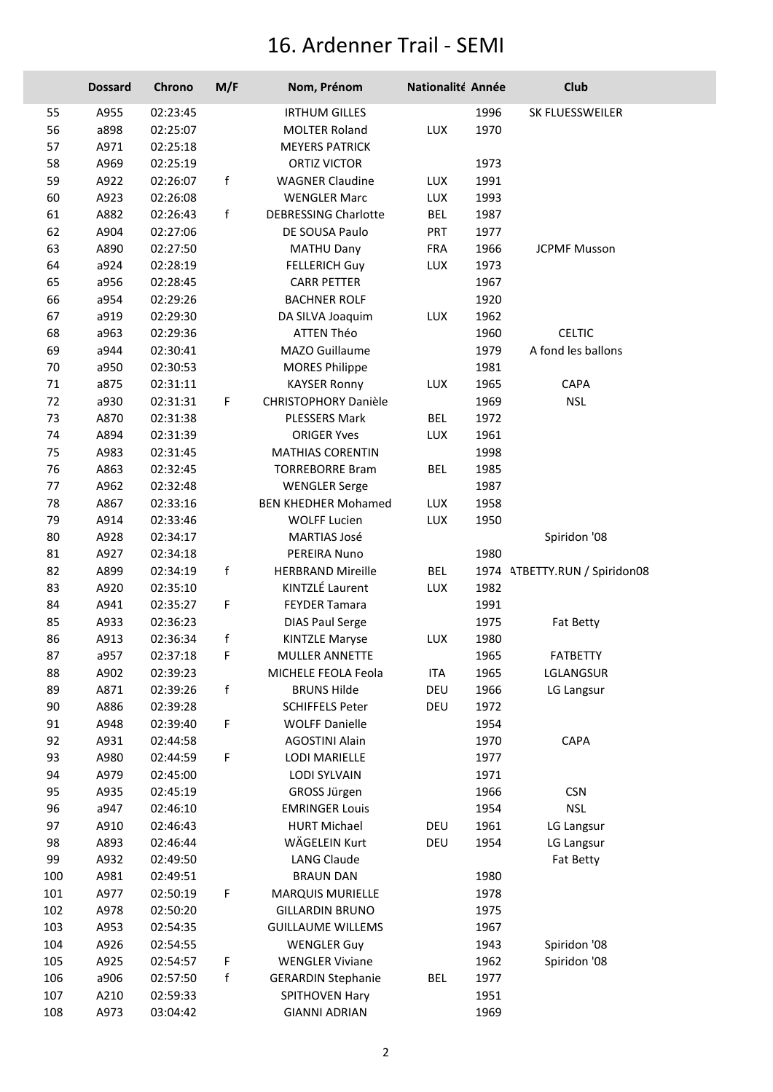## 16. Ardenner Trail - SEMI

|     | <b>Dossard</b> | Chrono   | M/F | Nom, Prénom                 | Nationalité Année |      | Club                          |
|-----|----------------|----------|-----|-----------------------------|-------------------|------|-------------------------------|
| 55  | A955           | 02:23:45 |     | <b>IRTHUM GILLES</b>        |                   | 1996 | SK FLUESSWEILER               |
| 56  | a898           | 02:25:07 |     | <b>MOLTER Roland</b>        | LUX               | 1970 |                               |
| 57  | A971           | 02:25:18 |     | <b>MEYERS PATRICK</b>       |                   |      |                               |
| 58  | A969           | 02:25:19 |     | <b>ORTIZ VICTOR</b>         |                   | 1973 |                               |
| 59  | A922           | 02:26:07 | f   | <b>WAGNER Claudine</b>      | LUX               | 1991 |                               |
| 60  | A923           | 02:26:08 |     | <b>WENGLER Marc</b>         | LUX               | 1993 |                               |
| 61  | A882           | 02:26:43 | f   | <b>DEBRESSING Charlotte</b> | <b>BEL</b>        | 1987 |                               |
| 62  | A904           | 02:27:06 |     | DE SOUSA Paulo              | <b>PRT</b>        | 1977 |                               |
| 63  | A890           | 02:27:50 |     | <b>MATHU Dany</b>           | <b>FRA</b>        | 1966 | <b>JCPMF Musson</b>           |
| 64  | a924           | 02:28:19 |     | <b>FELLERICH Guy</b>        | LUX               | 1973 |                               |
| 65  | a956           | 02:28:45 |     | <b>CARR PETTER</b>          |                   | 1967 |                               |
| 66  | a954           | 02:29:26 |     | <b>BACHNER ROLF</b>         |                   | 1920 |                               |
| 67  | a919           | 02:29:30 |     | DA SILVA Joaquim            | LUX               | 1962 |                               |
| 68  | a963           | 02:29:36 |     | <b>ATTEN Théo</b>           |                   | 1960 | <b>CELTIC</b>                 |
| 69  | a944           | 02:30:41 |     | MAZO Guillaume              |                   | 1979 | A fond les ballons            |
| 70  | a950           | 02:30:53 |     | <b>MORES Philippe</b>       |                   | 1981 |                               |
| 71  | a875           | 02:31:11 |     | <b>KAYSER Ronny</b>         | LUX               | 1965 | CAPA                          |
| 72  | a930           | 02:31:31 | F.  | CHRISTOPHORY Danièle        |                   | 1969 | <b>NSL</b>                    |
| 73  | A870           | 02:31:38 |     | <b>PLESSERS Mark</b>        | <b>BEL</b>        | 1972 |                               |
| 74  | A894           | 02:31:39 |     | <b>ORIGER Yves</b>          | LUX               | 1961 |                               |
| 75  | A983           | 02:31:45 |     | <b>MATHIAS CORENTIN</b>     |                   | 1998 |                               |
| 76  | A863           | 02:32:45 |     | <b>TORREBORRE Bram</b>      | <b>BEL</b>        | 1985 |                               |
| 77  | A962           | 02:32:48 |     | <b>WENGLER Serge</b>        |                   | 1987 |                               |
| 78  | A867           | 02:33:16 |     | <b>BEN KHEDHER Mohamed</b>  | LUX               | 1958 |                               |
| 79  | A914           | 02:33:46 |     | <b>WOLFF Lucien</b>         | LUX               | 1950 |                               |
| 80  | A928           | 02:34:17 |     | <b>MARTIAS José</b>         |                   |      | Spiridon '08                  |
| 81  | A927           | 02:34:18 |     | PEREIRA Nuno                |                   | 1980 |                               |
| 82  | A899           | 02:34:19 | f   | <b>HERBRAND Mireille</b>    | <b>BEL</b>        |      | 1974 ATBETTY.RUN / Spiridon08 |
| 83  | A920           | 02:35:10 |     | KINTZLÉ Laurent             | LUX               | 1982 |                               |
| 84  | A941           | 02:35:27 | F   | <b>FEYDER Tamara</b>        |                   | 1991 |                               |
| 85  | A933           | 02:36:23 |     | <b>DIAS Paul Serge</b>      |                   | 1975 | <b>Fat Betty</b>              |
| 86  | A913           | 02:36:34 | f   | <b>KINTZLE Maryse</b>       | LUX               | 1980 |                               |
| 87  | a957           | 02:37:18 | F.  | <b>MULLER ANNETTE</b>       |                   | 1965 | <b>FATBETTY</b>               |
| 88  | A902           | 02:39:23 |     | MICHELE FEOLA Feola         | <b>ITA</b>        | 1965 | LGLANGSUR                     |
| 89  | A871           | 02:39:26 | f   | <b>BRUNS Hilde</b>          | DEU               | 1966 | LG Langsur                    |
| 90  | A886           | 02:39:28 |     | <b>SCHIFFELS Peter</b>      | DEU               | 1972 |                               |
| 91  | A948           | 02:39:40 | F   | <b>WOLFF Danielle</b>       |                   | 1954 |                               |
| 92  | A931           | 02:44:58 |     | <b>AGOSTINI Alain</b>       |                   | 1970 | CAPA                          |
| 93  | A980           | 02:44:59 | F   | LODI MARIELLE               |                   | 1977 |                               |
| 94  | A979           | 02:45:00 |     | <b>LODI SYLVAIN</b>         |                   | 1971 |                               |
| 95  | A935           | 02:45:19 |     | GROSS Jürgen                |                   | 1966 | <b>CSN</b>                    |
| 96  | a947           | 02:46:10 |     | <b>EMRINGER Louis</b>       |                   | 1954 | <b>NSL</b>                    |
| 97  | A910           | 02:46:43 |     | <b>HURT Michael</b>         | DEU               | 1961 | LG Langsur                    |
| 98  | A893           | 02:46:44 |     | WÄGELEIN Kurt               | DEU               | 1954 | LG Langsur                    |
| 99  | A932           | 02:49:50 |     | <b>LANG Claude</b>          |                   |      | Fat Betty                     |
| 100 | A981           | 02:49:51 |     | <b>BRAUN DAN</b>            |                   | 1980 |                               |
| 101 | A977           | 02:50:19 | F   | <b>MARQUIS MURIELLE</b>     |                   | 1978 |                               |
| 102 | A978           | 02:50:20 |     | <b>GILLARDIN BRUNO</b>      |                   | 1975 |                               |
| 103 | A953           | 02:54:35 |     | <b>GUILLAUME WILLEMS</b>    |                   | 1967 |                               |
| 104 | A926           | 02:54:55 |     | <b>WENGLER Guy</b>          |                   | 1943 | Spiridon '08                  |
| 105 | A925           | 02:54:57 | F   | <b>WENGLER Viviane</b>      |                   | 1962 | Spiridon '08                  |
| 106 | a906           | 02:57:50 | f   | <b>GERARDIN Stephanie</b>   | <b>BEL</b>        | 1977 |                               |
| 107 | A210           | 02:59:33 |     | SPITHOVEN Hary              |                   | 1951 |                               |
| 108 | A973           | 03:04:42 |     | <b>GIANNI ADRIAN</b>        |                   | 1969 |                               |